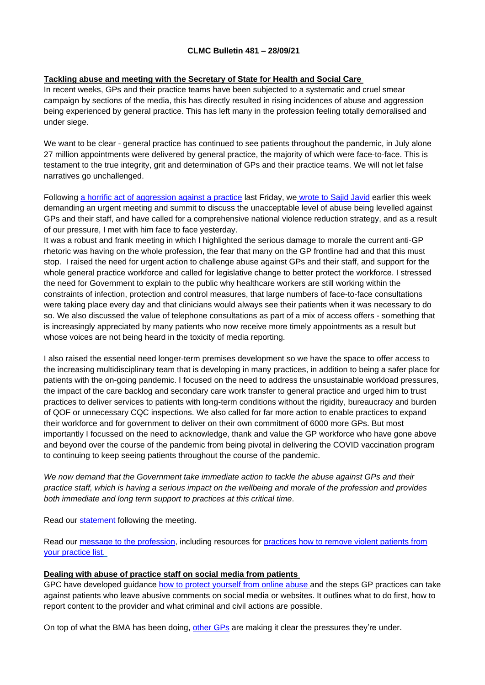## **Tackling abuse and meeting with the Secretary of State for Health and Social Care**

In recent weeks, GPs and their practice teams have been subjected to a systematic and cruel smear campaign by sections of the media, this has directly resulted in rising incidences of abuse and aggression being experienced by general practice. This has left many in the profession feeling totally demoralised and under siege.

We want to be clear - general practice has continued to see patients throughout the pandemic, in July alone 27 million appointments were delivered by general practice, the majority of which were face-to-face. This is testament to the true integrity, grit and determination of GPs and their practice teams. We will not let false narratives go unchallenged.

Following a horrific act of [aggression](https://www.bma.org.uk/bma-media-centre/bma-calls-for-government-action-to-protect-gps-and-practice-staff-after-horrific-violent-attack-in-manchester-gp-surgery?utm_source=The%20British%20Medical%20Association&utm_medium=email&utm_campaign=12671266_GP%20member%20message&utm_content=Attack%20on%20GPs&dm_t=0,0,0,0,0) against a practice last Friday, we [wrote](https://www.bma.org.uk/bma-media-centre/bma-urges-health-secretary-to-act-on-abuse-of-gps) to Sajid Javid earlier this week demanding an urgent meeting and summit to discuss the unacceptable level of abuse being levelled against GPs and their staff, and have called for a comprehensive national violence reduction strategy, and as a result of our pressure, I met with him face to face yesterday.

It was a robust and frank meeting in which I highlighted the serious damage to morale the current anti-GP rhetoric was having on the whole profession, the fear that many on the GP frontline had and that this must stop. I raised the need for urgent action to challenge abuse against GPs and their staff, and support for the whole general practice workforce and called for legislative change to better protect the workforce. I stressed the need for Government to explain to the public why healthcare workers are still working within the constraints of infection, protection and control measures, that large numbers of face-to-face consultations were taking place every day and that clinicians would always see their patients when it was necessary to do so. We also discussed the value of telephone consultations as part of a mix of access offers - something that is increasingly appreciated by many patients who now receive more timely appointments as a result but whose voices are not being heard in the toxicity of media reporting.

I also raised the essential need longer-term premises development so we have the space to offer access to the increasing multidisciplinary team that is developing in many practices, in addition to being a safer place for patients with the on-going pandemic. I focused on the need to address the unsustainable workload pressures, the impact of the care backlog and secondary care work transfer to general practice and urged him to trust practices to deliver services to patients with long-term conditions without the rigidity, bureaucracy and burden of QOF or unnecessary CQC inspections. We also called for far more action to enable practices to expand their workforce and for government to deliver on their own commitment of 6000 more GPs. But most importantly I focussed on the need to acknowledge, thank and value the GP workforce who have gone above and beyond over the course of the pandemic from being pivotal in delivering the COVID vaccination program to continuing to keep seeing patients throughout the course of the pandemic.

*We now demand that the Government take immediate action to tackle the abuse against GPs and their* practice staff, which is having a serious impact on the wellbeing and morale of the profession and provides *both immediate and long term support to practices at this critical time*.

Read our [statement](https://www.bma.org.uk/bma-media-centre/bma-and-secretary-of-state-for-health-discuss-abuse-crisis-in-the-nhs-and-urgent-need-for-reduction-in-bureaucracy-for-gps) following the meeting.

Read our message to the [profession,](https://bma-mail.org.uk/t/JVX-7JL7M-EC5E0CEA0D8A5317JCJOU4BA186991484320BE/cr.aspx) including resources for [practices](https://www.bma.org.uk/advice-and-support/gp-practices/managing-your-practice-list/removing-violent-patients-and-the-special-allocation-scheme) how to remove violent patients from your [practice](https://www.bma.org.uk/advice-and-support/gp-practices/managing-your-practice-list/removing-violent-patients-and-the-special-allocation-scheme) list.

# **Dealing with abuse of practice staff on social media from patients**

GPC have developed guidance how to protect [yourself](https://www.bma.org.uk/advice-and-support/gp-practices/complaints-in-primary-care/dealing-with-abuse-of-practice-staff-on-social-media-from-patients) from online abuse and the steps GP practices can take against patients who leave abusive comments on social media or websites. It outlines what to do first, how to report content to the provider and what criminal and civil actions are possible.

On top of what the BMA has been doing, [other](https://www.youtube.com/watch?app=desktop&v=D0apFJsgXRE&feature=youtu.be) GPs are making it clear the pressures they're under.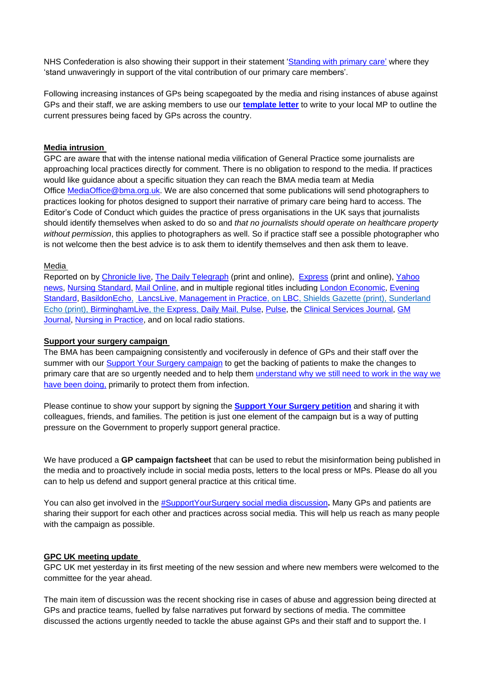NHS Confederation is also showing their support in their statement ['Standing](https://www.nhsconfed.org/news/standing-primary-care) with primary care' where they 'stand unwaveringly in support of the vital contribution of our primary care members'.

Following increasing instances of GPs being scapegoated by the media and rising instances of abuse against GPs and their staff, we are asking members to use our **[template](https://bma-mail.org.uk/t/JVX-7JQ76-JCJOU4-4KLUIY-1/c.aspx) letter** to write to your local MP to outline the current pressures being faced by GPs across the country.

## **Media intrusion**

GPC are aware that with the intense national media vilification of General Practice some journalists are approaching local practices directly for comment. There is no obligation to respond to the media. If practices would like guidance about a specific situation they can reach the BMA media team at Media Office [MediaOffice@bma.org.uk.](mailto:MediaOffice@bma.org.uk) We are also concerned that some publications will send photographers to practices looking for photos designed to support their narrative of primary care being hard to access. The Editor's Code of Conduct which guides the practice of press organisations in the UK says that journalists should identify themselves when asked to do so and *that no journalists should operate on healthcare property without permission*, this applies to photographers as well. So if practice staff see a possible photographer who is not welcome then the best advice is to ask them to identify themselves and then ask them to leave.

## Media

Reported on by [Chronicle](https://www.chroniclelive.co.uk/news/uk-news/attack-doctors-surgery-leads-calls-21607725) live, The Daily [Telegraph](https://www.telegraph.co.uk/news/2021/09/21/doctors-suffering-wave-abuse-lack-face-to-face-appointments/) (print and online), [Express](https://www.express.co.uk/life-style/health/1494771/gp-doctor-appointments-unlikely-return-pre-covid-levels) (print and online), [Yahoo](https://uk.news.yahoo.com/doctors-suffering-wave-abuse-over-202745372.html?guccounter=1) [news,](https://uk.news.yahoo.com/doctors-suffering-wave-abuse-over-202745372.html?guccounter=1) Nursing [Standard,](https://rcni.com/nursing-standard/newsroom/news/bma-calls-tougher-custodial-sentences-following-violence-against-manchester-gp-staff-178386) Mail [Online,](https://www.dailymail.co.uk/wires/pa/article-10012687/BMA-urges-Sajid-Javid-tackle-abuse-GPs.html?ns_mchannel=rss&ns_campaign=1490&ito=1490) and in multiple regional titles including London [Economic,](https://www.thelondoneconomic.com/news/bma-slams-govt-for-failing-to-tackle-abuse-and-media-scapegoating-of-gps-291488/) [Evening](https://www.standard.co.uk/news/uk/gps-bma-sajid-javid-government-health-secretary-b956467.html) [Standard,](https://www.standard.co.uk/news/uk/gps-bma-sajid-javid-government-health-secretary-b956467.html) [BasildonEcho,](https://www.echo-news.co.uk/news/national/19594399.bma-urges-sajid-javid-tackle-abuse-gps/?ref=rss) [LancsLive,](https://www.lancs.live/news/lancashire-news/lancashire-doctor-warns-gps-walk-21644775) [Management](https://managementinpractice.com/news/bma-increase-sentence-for-assaulting-emergency-workers-over-rising-gp-abuse/) in Practice, on [LBC,](https://twitter.com/LBC/status/1440660102399229960?s=20) Shields Gazette (print), Sunderland Echo (print), [BirminghamLive,](https://www.birminghammail.co.uk/black-country/residents-sandwell-face-bigger-wait-21639539) the [Express,](https://www.express.co.uk/life-style/health/1494771/gp-doctor-appointments-unlikely-return-pre-covid-levels) [Daily](https://www.dailymail.co.uk/news/article-10016079/Get-used-UKs-GP-says-face-face-appointments-WONT-pre-pandemic-levels.html) Mail, [Pulse,](https://www.pulsetoday.co.uk/news/workload/gps-call-on-hospital-colleagues-to-stop-perpetuating-myth-gps-are-lazy/) [Pulse,](https://www.pulsetoday.co.uk/news/practice-life/dr-nikki-kanani-invites-manchester-gp-practice-to-help-prevent-future-attacks/) the Clinical [Services](https://www.clinicalservicesjournal.com/story/36570/bma-urges-health-secretary-to-act-on-abuse-of-gps) Journal, [GM](https://www.gmjournal.co.uk/government-must-act-to-protect-gps-from-abuse-says-bma) [Journal,](https://www.gmjournal.co.uk/government-must-act-to-protect-gps-from-abuse-says-bma) Nursing in [Practice,](https://www.nursinginpractice.com/views/dont-feed-practices-on-secondary-cares-scraps/) and on local radio stations.

## **Support your surgery campaign**

The BMA has been campaigning consistently and vociferously in defence of GPs and their staff over the summer with our Support Your Surgery [campaign](https://www.bma.org.uk/advice-and-support/covid-19/gp-practices/support-your-surgery) to get the backing of patients to make the changes to primary care that are so urgently needed and to help them [understand](https://www.bma.org.uk/media/4532/bma-why-are-gps-needing-to-work-differently-poster-sept-2021.pdf) why we still need to work in the way we have been [doing,](https://www.bma.org.uk/media/4532/bma-why-are-gps-needing-to-work-differently-poster-sept-2021.pdf) primarily to protect them from infection.

Please continue to show your support by signing the **[Support](https://e-activist.com/page/88027/petition/1) Your Surgery petition** and sharing it with colleagues, friends, and families. The petition is just one element of the campaign but is a way of putting pressure on the Government to properly support general practice.

We have produced a **GP campaign factsheet** that can be used to rebut the misinformation being published in the media and to proactively include in social media posts, letters to the local press or MPs. Please do all you can to help us defend and support general practice at this critical time.

You can also get involved in the [#SupportYourSurgery](https://twitter.com/hashtag/SupportYourSurgery?src=hashtag) social media discussion**.** Many GPs and patients are sharing their support for each other and practices across social media. This will help us reach as many people with the campaign as possible.

## **GPC UK meeting update**

GPC UK met yesterday in its first meeting of the new session and where new members were welcomed to the committee for the year ahead.

The main item of discussion was the recent shocking rise in cases of abuse and aggression being directed at GPs and practice teams, fuelled by false narratives put forward by sections of media. The committee discussed the actions urgently needed to tackle the abuse against GPs and their staff and to support the. I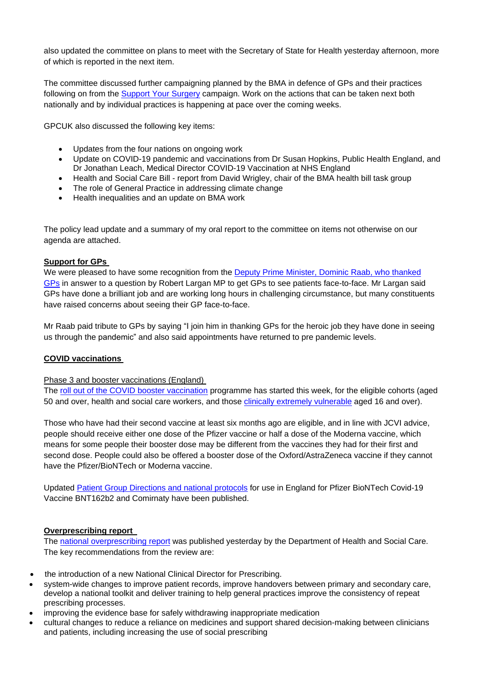also updated the committee on plans to meet with the Secretary of State for Health yesterday afternoon, more of which is reported in the next item.

The committee discussed further campaigning planned by the BMA in defence of GPs and their practices following on from the Support Your Surgery campaign. Work on the actions that can be taken next both nationally and by individual practices is happening at pace over the coming weeks.

GPCUK also discussed the following key items:

- Updates from the four nations on ongoing work
- Update on COVID-19 pandemic and vaccinations from Dr Susan Hopkins, Public Health England, and Dr Jonathan Leach, Medical Director COVID-19 Vaccination at NHS England
- Health and Social Care Bill report from David Wrigley, chair of the BMA health bill task group
- The role of General Practice in addressing climate change
- Health inequalities and an update on BMA work

The policy lead update and a summary of my oral report to the committee on items not otherwise on our agenda are attached.

## **Support for GPs**

We were pleased to have some recognition from the Deputy Prime Minister, Dominic Raab, who thanked GPs in answer to a question by Robert Largan MP to get GPs to see patients face-to-face. Mr Largan said GPs have done a brilliant job and are working long hours in challenging circumstance, but many constituents have raised concerns about seeing their GP face-to-face.

Mr Raab paid tribute to GPs by saying "I join him in thanking GPs for the heroic job they have done in seeing us through the pandemic" and also said appointments have returned to pre pandemic levels.

## **COVID vaccinations**

Phase 3 and booster vaccinations (England)

The roll out of the COVID booster vaccination programme has started this week, for the eligible cohorts (aged 50 and over, health and social care workers, and those clinically extremely vulnerable aged 16 and over).

Those who have had their second vaccine at least six months ago are eligible, and in line with JCVI advice, people should receive either one dose of the Pfizer vaccine or half a dose of the Moderna vaccine, which means for some people their booster dose may be different from the vaccines they had for their first and second dose. People could also be offered a booster dose of the Oxford/AstraZeneca vaccine if they cannot have the Pfizer/BioNTech or Moderna vaccine.

Updated Patient Group Directions and national protocols for use in England for Pfizer BioNTech Covid-19 Vaccine BNT162b2 and Comirnaty have been published.

## **Overprescribing report**

The national overprescribing report was published yesterday by the Department of Health and Social Care. The key recommendations from the review are:

- the introduction of a new National Clinical Director for Prescribing.
- system-wide changes to improve patient records, improve handovers between primary and secondary care, develop a national toolkit and deliver training to help general practices improve the consistency of repeat prescribing processes.
- improving the evidence base for safely withdrawing inappropriate medication
- cultural changes to reduce a reliance on medicines and support shared decision-making between clinicians and patients, including increasing the use of social prescribing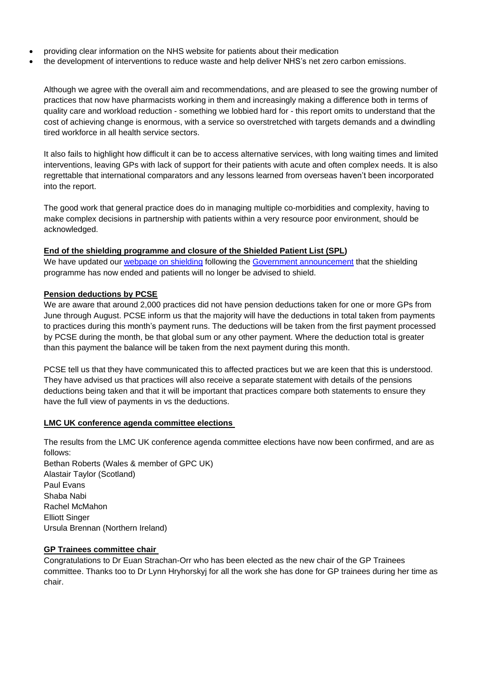- providing clear information on the NHS website for patients about their medication
- the development of interventions to reduce waste and help deliver NHS's net zero carbon emissions.

Although we agree with the overall aim and recommendations, and are pleased to see the growing number of practices that now have pharmacists working in them and increasingly making a difference both in terms of quality care and workload reduction - something we lobbied hard for - this report omits to understand that the cost of achieving change is enormous, with a service so overstretched with targets demands and a dwindling tired workforce in all health service sectors.

It also fails to highlight how difficult it can be to access alternative services, with long waiting times and limited interventions, leaving GPs with lack of support for their patients with acute and often complex needs. It is also regrettable that international comparators and any lessons learned from overseas haven't been incorporated into the report.

The good work that general practice does do in managing multiple co-morbidities and complexity, having to make complex decisions in partnership with patients within a very resource poor environment, should be acknowledged.

#### **End of the shielding programme and closure of the Shielded Patient List (SPL)**

We have updated our webpage on shielding following the Government announcement that the shielding programme has now ended and patients will no longer be advised to shield.

#### **Pension deductions by PCSE**

We are aware that around 2,000 practices did not have pension deductions taken for one or more GPs from June through August. PCSE inform us that the majority will have the deductions in total taken from payments to practices during this month's payment runs. The deductions will be taken from the first payment processed by PCSE during the month, be that global sum or any other payment. Where the deduction total is greater than this payment the balance will be taken from the next payment during this month.

PCSE tell us that they have communicated this to affected practices but we are keen that this is understood. They have advised us that practices will also receive a separate statement with details of the pensions deductions being taken and that it will be important that practices compare both statements to ensure they have the full view of payments in vs the deductions.

#### **LMC UK conference agenda committee elections**

The results from the LMC UK conference agenda committee elections have now been confirmed, and are as follows: Bethan Roberts (Wales & member of GPC UK) Alastair Taylor (Scotland) Paul Evans Shaba Nabi Rachel McMahon Elliott Singer Ursula Brennan (Northern Ireland)

#### **GP Trainees committee chair**

Congratulations to Dr Euan Strachan-Orr who has been elected as the new chair of the GP Trainees committee. Thanks too to Dr Lynn Hryhorskyj for all the work she has done for GP trainees during her time as chair.